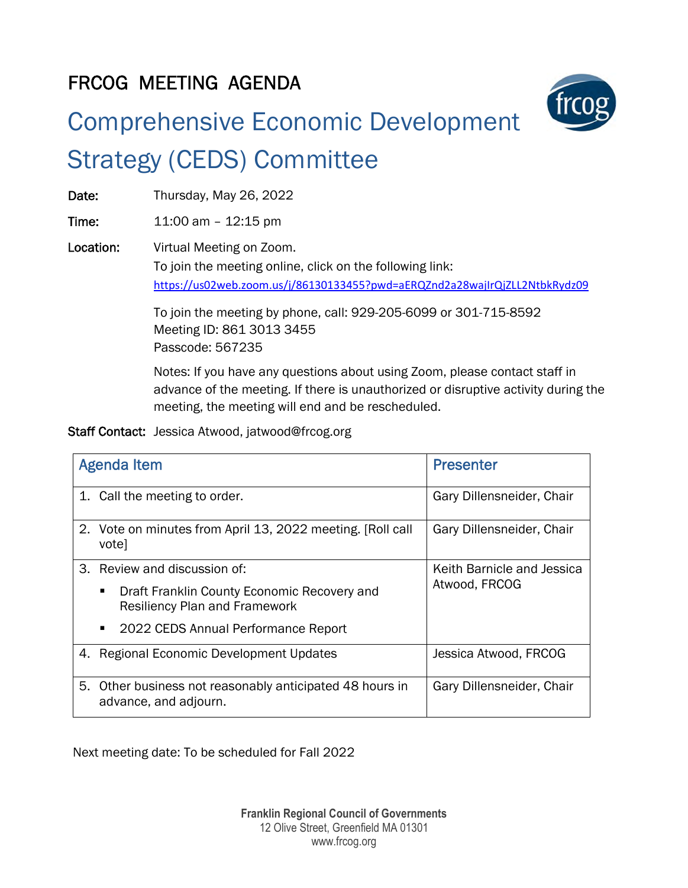## FRCOG MEETING AGENDA



# Comprehensive Economic Development Strategy (CEDS) Committee

Date: Thursday, May 26, 2022

**Time:** 11:00 am - 12:15 pm

Location: Virtual Meeting on Zoom. To join the meeting online, click on the following link: <https://us02web.zoom.us/j/86130133455?pwd=aERQZnd2a28wajIrQjZLL2NtbkRydz09>

> To join the meeting by phone, call: 929-205-6099 or 301-715-8592 Meeting ID: 861 3013 3455 Passcode: 567235

Notes: If you have any questions about using Zoom, please contact staff in advance of the meeting. If there is unauthorized or disruptive activity during the meeting, the meeting will end and be rescheduled.

Staff Contact: Jessica Atwood, jatwood@frcog.org

| <b>Agenda Item</b> |                                                                                           | <b>Presenter</b>                            |
|--------------------|-------------------------------------------------------------------------------------------|---------------------------------------------|
|                    | 1. Call the meeting to order.                                                             | Gary Dillensneider, Chair                   |
|                    | 2. Vote on minutes from April 13, 2022 meeting. [Roll call<br>votel                       | Gary Dillensneider, Chair                   |
|                    | 3. Review and discussion of:                                                              | Keith Barnicle and Jessica<br>Atwood, FRCOG |
|                    | Draft Franklin County Economic Recovery and<br>п.<br><b>Resiliency Plan and Framework</b> |                                             |
|                    | 2022 CEDS Annual Performance Report<br>٠                                                  |                                             |
|                    | 4. Regional Economic Development Updates                                                  | Jessica Atwood, FRCOG                       |
| 5.                 | Other business not reasonably anticipated 48 hours in<br>advance, and adjourn.            | Gary Dillensneider, Chair                   |

Next meeting date: To be scheduled for Fall 2022